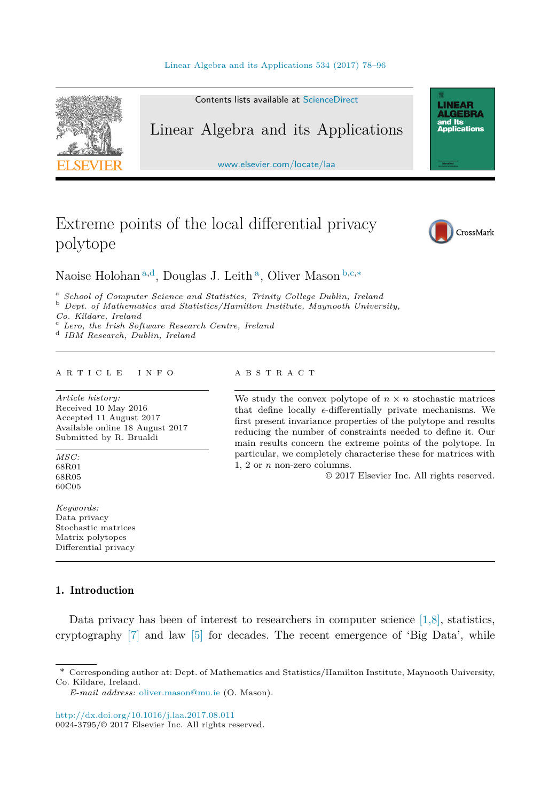

# Extreme points of the local differential privacy polytope



Naoise Holohan <sup>a</sup>*,*<sup>d</sup>, Douglas J. Leith <sup>a</sup>, Oliver Mason <sup>b</sup>*,*c*,*<sup>∗</sup>

<sup>a</sup> School of Computer Science and Statistics, Trinity College Dublin, Ireland<br><sup>b</sup> Dept. of Mathematics and Statistics/Hamilton Institute, Maynooth University,<br>Co. Kildare. Ireland

*Co. Kildare, Ireland* <sup>c</sup> *Lero, the Irish Software Research Centre, Ireland* <sup>d</sup> *IBM Research, Dublin, Ireland*

#### A R T I C L E I N F O A B S T R A C T

*Article history:* Received 10 May 2016 Accepted 11 August 2017 Available online 18 August 2017 Submitted by R. Brualdi

*MSC:* 68R01 68R05 60C05

*Keywords:* Data privacy Stochastic matrices Matrix polytopes Differential privacy

# 1. Introduction

Data privacy has been of interest to researchers in computer science  $[1,8]$ , statistics, cryptography [\[7\]](#page-17-0) and law [\[5\]](#page-17-0) for decades. The recent emergence of 'Big Data', while

*E-mail address:* [oliver.mason@mu.ie](mailto:oliver.mason@mu.ie) (O. Mason).

<http://dx.doi.org/10.1016/j.laa.2017.08.011> 0024-3795/© 2017 Elsevier Inc. All rights reserved.

We study the convex polytope of  $n \times n$  stochastic matrices that define locally  $\epsilon$ -differentially private mechanisms. We first present invariance properties of the polytope and results reducing the number of constraints needed to define it. Our main results concern the extreme points of the polytope. In particular, we completely characterise these for matrices with 1, 2 or *n* non-zero columns.

© 2017 Elsevier Inc. All rights reserved.

<sup>\*</sup> Corresponding author at: Dept. of Mathematics and Statistics/Hamilton Institute, Maynooth University, Co. Kildare, Ireland.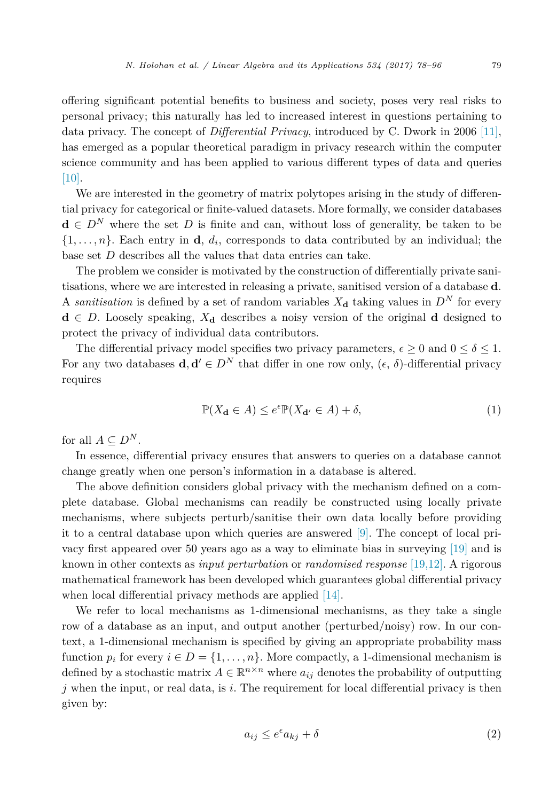offering significant potential benefits to business and society, poses very real risks to personal privacy; this naturally has led to increased interest in questions pertaining to data privacy. The concept of *Differential Privacy*, introduced by C. Dwork in 2006 [\[11\],](#page-17-0) has emerged as a popular theoretical paradigm in privacy research within the computer science community and has been applied to various different types of data and queries [\[10\].](#page-17-0)

We are interested in the geometry of matrix polytopes arising in the study of differential privacy for categorical or finite-valued datasets. More formally, we consider databases **<sup>d</sup>** <sup>∈</sup> *<sup>D</sup><sup>N</sup>* where the set *<sup>D</sup>* is finite and can, without loss of generality, be taken to be  $\{1,\ldots,n\}$ . Each entry in **d**,  $d_i$ , corresponds to data contributed by an individual; the base set *D* describes all the values that data entries can take.

The problem we consider is motivated by the construction of differentially private sanitisations, where we are interested in releasing a private, sanitised version of a database **d**. A *sanitisation* is defined by a set of random variables  $X_{\mathbf{d}}$  taking values in  $D^N$  for every  $d \in D$ . Loosely speaking,  $X_d$  describes a noisy version of the original d designed to protect the privacy of individual data contributors.

The differential privacy model specifies two privacy parameters,  $\epsilon \geq 0$  and  $0 \leq \delta \leq 1$ . For any two databases  $\mathbf{d}, \mathbf{d}' \in D^N$  that differ in one row only,  $(\epsilon, \delta)$ -differential privacy requires

$$
\mathbb{P}(X_{\mathbf{d}} \in A) \le e^{\epsilon} \mathbb{P}(X_{\mathbf{d}'} \in A) + \delta,\tag{1}
$$

for all  $A \subseteq D^N$ .

In essence, differential privacy ensures that answers to queries on a database cannot change greatly when one person's information in a database is altered.

The above definition considers global privacy with the mechanism defined on a complete database. Global mechanisms can readily be constructed using locally private mechanisms, where subjects perturb/sanitise their own data locally before providing it to a central database upon which queries are answered [\[9\].](#page-17-0) The concept of local privacy first appeared over 50 years ago as a way to eliminate bias in surveying [\[19\]](#page-18-0) and is known in other contexts as *input perturbation* or *randomised response* [\[19,12\].](#page-18-0) A rigorous mathematical framework has been developed which guarantees global differential privacy when local differential privacy methods are applied [\[14\].](#page-18-0)

We refer to local mechanisms as 1-dimensional mechanisms, as they take a single row of a database as an input, and output another (perturbed/noisy) row. In our context, a 1-dimensional mechanism is specified by giving an appropriate probability mass function  $p_i$  for every  $i \in D = \{1, \ldots, n\}$ . More compactly, a 1-dimensional mechanism is defined by a stochastic matrix  $A \in \mathbb{R}^{n \times n}$  where  $a_{ij}$  denotes the probability of outputting *j* when the input, or real data, is *i*. The requirement for local differential privacy is then given by:

$$
a_{ij} \le e^{\epsilon} a_{kj} + \delta \tag{2}
$$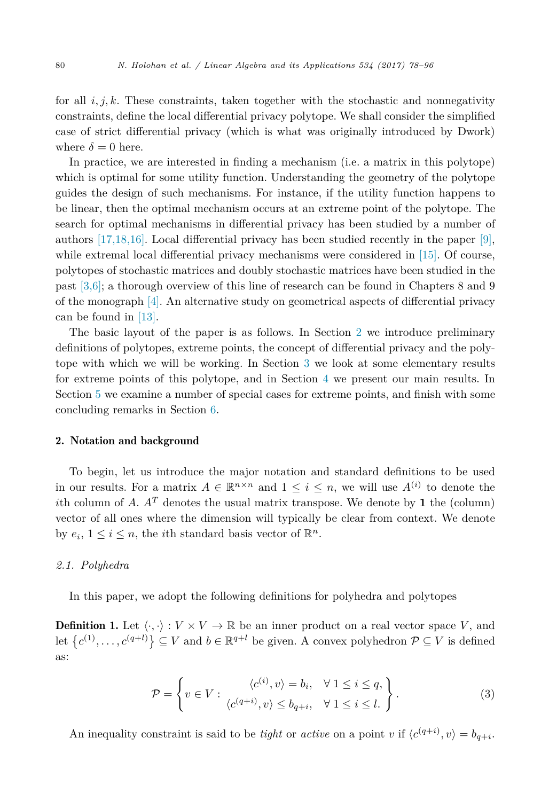<span id="page-2-0"></span>for all  $i, j, k$ . These constraints, taken together with the stochastic and nonnegativity constraints, define the local differential privacy polytope. We shall consider the simplified case of strict differential privacy (which is what was originally introduced by Dwork) where  $\delta = 0$  here.

In practice, we are interested in finding a mechanism (i.e. a matrix in this polytope) which is optimal for some utility function. Understanding the geometry of the polytope guides the design of such mechanisms. For instance, if the utility function happens to be linear, then the optimal mechanism occurs at an extreme point of the polytope. The search for optimal mechanisms in differential privacy has been studied by a number of authors  $[17,18,16]$ . Local differential privacy has been studied recently in the paper  $[9]$ , while extremal local differential privacy mechanisms were considered in [\[15\].](#page-18-0) Of course, polytopes of stochastic matrices and doubly stochastic matrices have been studied in the past [\[3,6\];](#page-17-0) a thorough overview of this line of research can be found in Chapters 8 and 9 of the monograph [\[4\].](#page-17-0) An alternative study on geometrical aspects of differential privacy can be found in [\[13\].](#page-17-0)

The basic layout of the paper is as follows. In Section 2 we introduce preliminary definitions of polytopes, extreme points, the concept of differential privacy and the polytope with which we will be working. In Section [3](#page-4-0) we look at some elementary results for extreme points of this polytope, and in Section [4](#page-10-0) we present our main results. In Section [5](#page-16-0) we examine a number of special cases for extreme points, and finish with some concluding remarks in Section [6.](#page-17-0)

#### 2. Notation and background

To begin, let us introduce the major notation and standard definitions to be used in our results. For a matrix  $A \in \mathbb{R}^{n \times n}$  and  $1 \leq i \leq n$ , we will use  $A^{(i)}$  to denote the *i*th column of *A*.  $A<sup>T</sup>$  denotes the usual matrix transpose. We denote by **1** the (column) vector of all ones where the dimension will typically be clear from context. We denote by  $e_i$ ,  $1 \leq i \leq n$ , the *i*<sup>th</sup> standard basis vector of  $\mathbb{R}^n$ .

## *2.1. Polyhedra*

In this paper, we adopt the following definitions for polyhedra and polytopes

**Definition 1.** Let  $\langle \cdot, \cdot \rangle : V \times V \to \mathbb{R}$  be an inner product on a real vector space V, and let  ${c^{(1)}, \ldots, c^{(q+l)}} \subseteq V$  and  $b \in \mathbb{R}^{q+l}$  be given. A convex polyhedron  $P \subseteq V$  is defined as:

$$
\mathcal{P} = \left\{ v \in V : \begin{array}{c} \langle c^{(i)}, v \rangle = b_i, & \forall \ 1 \le i \le q, \\ \langle c^{(q+i)}, v \rangle \le b_{q+i}, & \forall \ 1 \le i \le l. \end{array} \right\}.
$$
\n(3)

An inequality constraint is said to be *tight* or *active* on a point *v* if  $\langle c^{(q+i)}, v \rangle = b_{q+i}$ .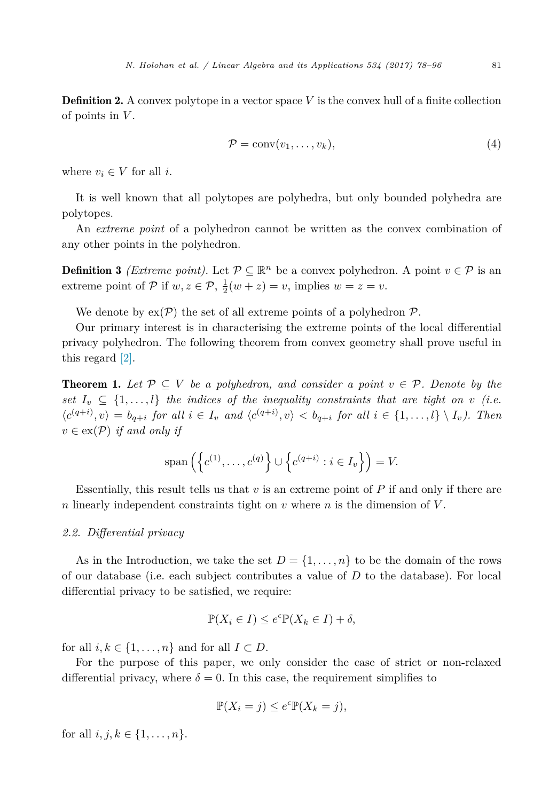<span id="page-3-0"></span>**Definition 2.** A convex polytope in a vector space *V* is the convex hull of a finite collection of points in *V* .

$$
\mathcal{P} = \text{conv}(v_1, \dots, v_k),\tag{4}
$$

where  $v_i \in V$  for all *i*.

It is well known that all polytopes are polyhedra, but only bounded polyhedra are polytopes.

An *extreme point* of a polyhedron cannot be written as the convex combination of any other points in the polyhedron.

**Definition 3** *(Extreme point)*. Let  $\mathcal{P} \subseteq \mathbb{R}^n$  be a convex polyhedron. A point  $v \in \mathcal{P}$  is an extreme point of  $P$  if  $w, z \in P$ ,  $\frac{1}{2}(w + z) = v$ , implies  $w = z = v$ .

We denote by  $ex(\mathcal{P})$  the set of all extreme points of a polyhedron  $\mathcal{P}$ .

Our primary interest is in characterising the extreme points of the local differential privacy polyhedron. The following theorem from convex geometry shall prove useful in this regard [\[2\].](#page-17-0)

**Theorem 1.** Let  $\mathcal{P} \subseteq V$  be a polyhedron, and consider a point  $v \in \mathcal{P}$ . Denote by the *set*  $I_v \subseteq \{1, \ldots, l\}$  *the indices of the inequality constraints that are tight on v (i.e.*  $\langle c^{(q+i)}, v \rangle = b_{q+i}$  for all  $i \in I_v$  and  $\langle c^{(q+i)}, v \rangle < b_{q+i}$  for all  $i \in \{1, ..., l\} \setminus I_v$ ). Then  $v \in \text{ex}(\mathcal{P})$  *if and only if* 

$$
\mathrm{span}\left(\left\{c^{(1)},\ldots,c^{(q)}\right\}\cup\left\{c^{(q+i)}:i\in I_v\right\}\right)=V.
$$

Essentially, this result tells us that *v* is an extreme point of *P* if and only if there are *n* linearly independent constraints tight on *v* where *n* is the dimension of *V* .

#### *2.2. Differential privacy*

As in the Introduction, we take the set  $D = \{1, \ldots, n\}$  to be the domain of the rows of our database (i.e. each subject contributes a value of *D* to the database). For local differential privacy to be satisfied, we require:

$$
\mathbb{P}(X_i \in I) \le e^{\epsilon} \mathbb{P}(X_k \in I) + \delta,
$$

for all  $i, k \in \{1, \ldots, n\}$  and for all  $I \subset D$ .

For the purpose of this paper, we only consider the case of strict or non-relaxed differential privacy, where  $\delta = 0$ . In this case, the requirement simplifies to

$$
\mathbb{P}(X_i = j) \le e^{\epsilon} \mathbb{P}(X_k = j),
$$

for all  $i, j, k \in \{1, ..., n\}.$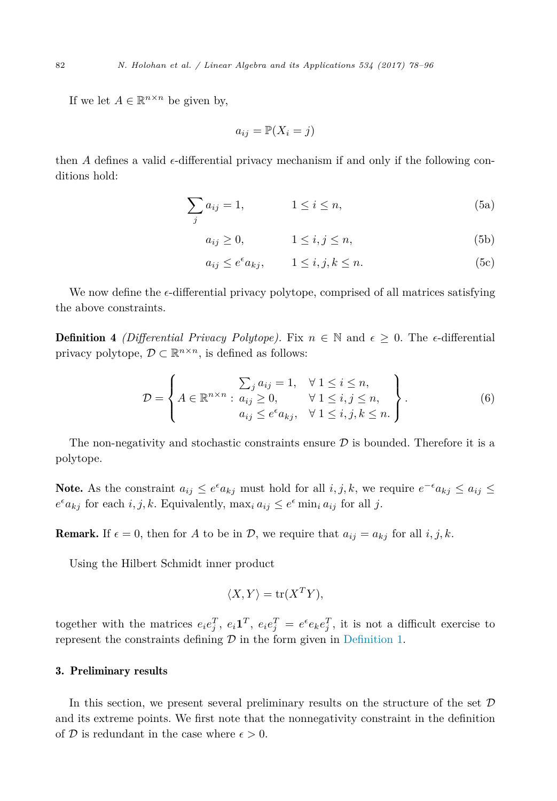<span id="page-4-0"></span>If we let  $A \in \mathbb{R}^{n \times n}$  be given by,

$$
a_{ij} = \mathbb{P}(X_i = j)
$$

then *A* defines a valid  $\epsilon$ -differential privacy mechanism if and only if the following conditions hold:

$$
\sum_{j} a_{ij} = 1, \qquad \qquad 1 \le i \le n,
$$
\n(5a)

 $a_{ij} \ge 0,$  1  $\le i, j \le n,$  (5b)

$$
a_{ij} \le e^{\epsilon} a_{kj}, \qquad 1 \le i, j, k \le n.
$$
 (5c)

We now define the  $\epsilon$ -differential privacy polytope, comprised of all matrices satisfying the above constraints.

**Definition 4** *(Differential Privacy Polytope)*. Fix  $n \in \mathbb{N}$  and  $\epsilon \geq 0$ . The *e*-differential privacy polytope,  $\mathcal{D} \subset \mathbb{R}^{n \times n}$ , is defined as follows:

$$
\mathcal{D} = \left\{ A \in \mathbb{R}^{n \times n} : \begin{matrix} \sum_{j} a_{ij} = 1, & \forall 1 \leq i \leq n, \\ a_{ij} \geq 0, & \forall 1 \leq i, j \leq n, \\ a_{ij} \leq e^{\epsilon} a_{kj}, & \forall 1 \leq i, j, k \leq n. \end{matrix} \right\}.
$$
 (6)

The non-negativity and stochastic constraints ensure  $D$  is bounded. Therefore it is a polytope.

Note. As the constraint  $a_{ij} \leq e^{\epsilon} a_{kj}$  must hold for all  $i, j, k$ , we require  $e^{-\epsilon} a_{kj} \leq a_{ij} \leq$  $e^{\epsilon}a_{kj}$  for each *i, j, k.* Equivalently, max<sub>*i*</sub>  $a_{ij} \leq e^{\epsilon} \min_i a_{ij}$  for all *j*.

**Remark.** If  $\epsilon = 0$ , then for *A* to be in *D*, we require that  $a_{ij} = a_{kj}$  for all  $i, j, k$ .

Using the Hilbert Schmidt inner product

$$
\langle X, Y \rangle = \text{tr}(X^T Y),
$$

together with the matrices  $e_i e_j^T$ ,  $e_i \mathbf{1}^T$ ,  $e_i e_j^T = e^{\epsilon} e_k e_j^T$ , it is not a difficult exercise to represent the constraints defining  $\mathcal D$  in the form given in [Definition 1.](#page-2-0)

#### 3. Preliminary results

In this section, we present several preliminary results on the structure of the set  $\mathcal D$ and its extreme points. We first note that the nonnegativity constraint in the definition of  $D$  is redundant in the case where  $\epsilon > 0$ .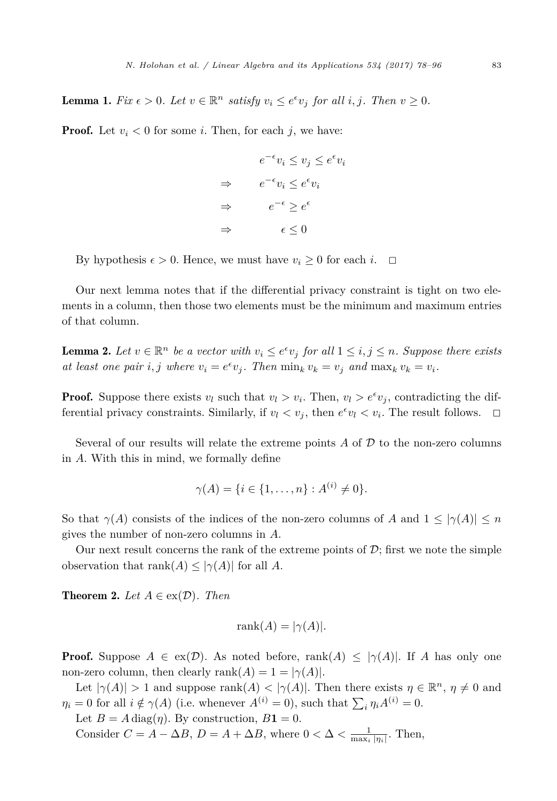<span id="page-5-0"></span>**Lemma 1.** Fix  $\epsilon > 0$ . Let  $v \in \mathbb{R}^n$  satisfy  $v_i \leq e^{\epsilon}v_j$  for all  $i, j$ . Then  $v \geq 0$ .

**Proof.** Let  $v_i < 0$  for some *i*. Then, for each *j*, we have:

$$
e^{-\epsilon}v_i \le v_j \le e^{\epsilon}v_i
$$
  
\n
$$
\Rightarrow \qquad e^{-\epsilon}v_i \le e^{\epsilon}v_i
$$
  
\n
$$
\Rightarrow \qquad e^{-\epsilon} \ge e^{\epsilon}
$$
  
\n
$$
\Rightarrow \qquad \epsilon \le 0
$$

By hypothesis  $\epsilon > 0$ . Hence, we must have  $v_i \geq 0$  for each *i*.  $\Box$ 

Our next lemma notes that if the differential privacy constraint is tight on two elements in a column, then those two elements must be the minimum and maximum entries of that column.

**Lemma 2.** Let  $v \in \mathbb{R}^n$  be a vector with  $v_i \leq e^{\epsilon}v_j$  for all  $1 \leq i, j \leq n$ . Suppose there exists at least one pair i, j where  $v_i = e^{\epsilon} v_j$ . Then  $\min_k v_k = v_j$  and  $\max_k v_k = v_i$ .

**Proof.** Suppose there exists  $v_l$  such that  $v_l > v_i$ . Then,  $v_l > e^{\epsilon}v_j$ , contradicting the differential privacy constraints. Similarly, if  $v_l < v_j$ , then  $e^{\epsilon}v_l < v_i$ . The result follows.  $\Box$ 

Several of our results will relate the extreme points  $A$  of  $D$  to the non-zero columns in *A*. With this in mind, we formally define

$$
\gamma(A) = \{i \in \{1, \dots, n\} : A^{(i)} \neq 0\}.
$$

So that  $\gamma(A)$  consists of the indices of the non-zero columns of *A* and  $1 \leq |\gamma(A)| \leq n$ gives the number of non-zero columns in *A*.

Our next result concerns the rank of the extreme points of  $\mathcal{D}$ ; first we note the simple observation that  $\text{rank}(A) \leq |\gamma(A)|$  for all *A*.

**Theorem 2.** *Let*  $A \in ex(\mathcal{D})$ *. Then* 

$$
rank(A) = |\gamma(A)|.
$$

**Proof.** Suppose  $A \in \text{ex}(\mathcal{D})$ . As noted before, rank $(A) \leq |\gamma(A)|$ . If *A* has only one non-zero column, then clearly  $\text{rank}(A) = 1 = |\gamma(A)|$ .

Let  $|\gamma(A)| > 1$  and suppose rank $(A) < |\gamma(A)|$ . Then there exists  $\eta \in \mathbb{R}^n$ ,  $\eta \neq 0$  and  $\eta_i = 0$  for all  $i \notin \gamma(A)$  (i.e. whenever  $A^{(i)} = 0$ ), such that  $\sum_i \eta_i A^{(i)} = 0$ .

Let  $B = A \text{ diag}(\eta)$ . By construction,  $B\mathbf{1} = 0$ .

Consider  $C = A - \Delta B$ ,  $D = A + \Delta B$ , where  $0 < \Delta < \frac{1}{\max_i |\eta_i|}$ . Then,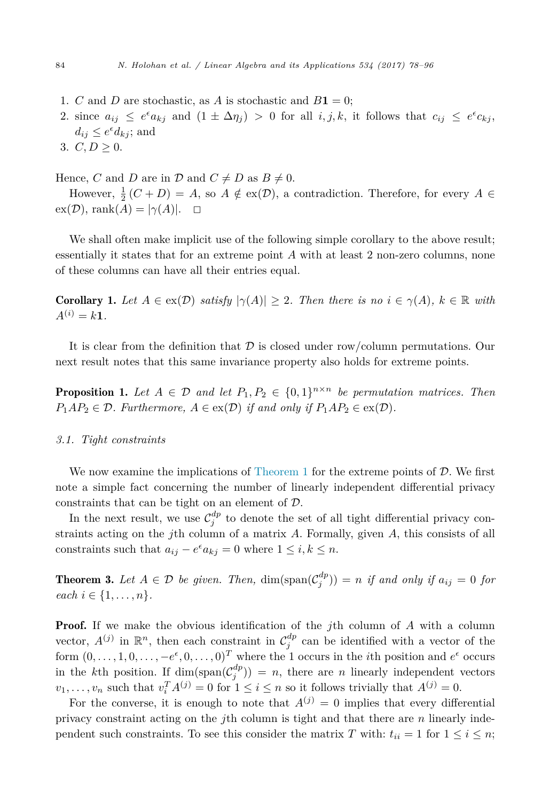- <span id="page-6-0"></span>1. *C* and *D* are stochastic, as *A* is stochastic and  $B\mathbf{1} = 0$ ;
- 2. since  $a_{ij} \leq e^{\epsilon} a_{kj}$  and  $(1 \pm \Delta \eta_j) > 0$  for all  $i, j, k$ , it follows that  $c_{ij} \leq e^{\epsilon} c_{kj}$ ,  $d_{ij} \leq e^{\epsilon} d_{kj}$ ; and
- 3.  $C, D \geq 0$ .

Hence, *C* and *D* are in  $\mathcal{D}$  and  $C \neq D$  as  $B \neq 0$ .

However,  $\frac{1}{2}(C+D) = A$ , so  $A \notin \text{ex}(\mathcal{D})$ , a contradiction. Therefore, for every  $A \in$  $ex(\mathcal{D}),$  rank $(A) = |\gamma(A)|$ .  $\Box$ 

We shall often make implicit use of the following simple corollary to the above result; essentially it states that for an extreme point *A* with at least 2 non-zero columns, none of these columns can have all their entries equal.

**Corollary 1.** Let  $A \in \text{ex}(\mathcal{D})$  *satisfy*  $|\gamma(A)| \geq 2$ . Then there is no  $i \in \gamma(A)$ ,  $k \in \mathbb{R}$  with  $A^{(i)} = k1$ .

It is clear from the definition that  $D$  is closed under row/column permutations. Our next result notes that this same invariance property also holds for extreme points.

**Proposition 1.** Let  $A \in \mathcal{D}$  and let  $P_1, P_2 \in \{0, 1\}^{n \times n}$  be permutation matrices. Then  $P_1AP_2 \in \mathcal{D}$ *. Furthermore,*  $A \in \text{ex}(\mathcal{D})$  *if and only if*  $P_1AP_2 \in \text{ex}(\mathcal{D})$ *.* 

### *3.1. Tight constraints*

We now examine the implications of [Theorem 1](#page-3-0) for the extreme points of  $D$ . We first note a simple fact concerning the number of linearly independent differential privacy constraints that can be tight on an element of D.

In the next result, we use  $\mathcal{C}_j^{dp}$  to denote the set of all tight differential privacy constraints acting on the *j*th column of a matrix *A*. Formally, given *A*, this consists of all constraints such that  $a_{ij} - e^{\epsilon} a_{kj} = 0$  where  $1 \leq i, k \leq n$ .

**Theorem 3.** Let  $A \in \mathcal{D}$  be given. Then,  $\dim(\text{span}(\mathcal{C}_j^{dp})) = n$  if and only if  $a_{ij} = 0$  for *each*  $i \in \{1, ..., n\}$ *.* 

**Proof.** If we make the obvious identification of the *j*th column of *A* with a column vector,  $A^{(j)}$  in  $\mathbb{R}^n$ , then each constraint in  $\mathcal{C}^{dp}_j$  can be identified with a vector of the form  $(0, \ldots, 1, 0, \ldots, -e^{\epsilon}, 0, \ldots, 0)^T$  where the 1 occurs in the *i*th position and  $e^{\epsilon}$  occurs in the *k*th position. If  $\dim(\text{span}(\mathcal{C}_j^{dp}) ) = n$ , there are *n* linearly independent vectors  $v_1, \ldots, v_n$  such that  $v_i^T A^{(j)} = 0$  for  $1 \le i \le n$  so it follows trivially that  $A^{(j)} = 0$ .

For the converse, it is enough to note that  $A^{(j)} = 0$  implies that every differential privacy constraint acting on the *j*th column is tight and that there are *n* linearly independent such constraints. To see this consider the matrix *T* with:  $t_{ii} = 1$  for  $1 \le i \le n$ ;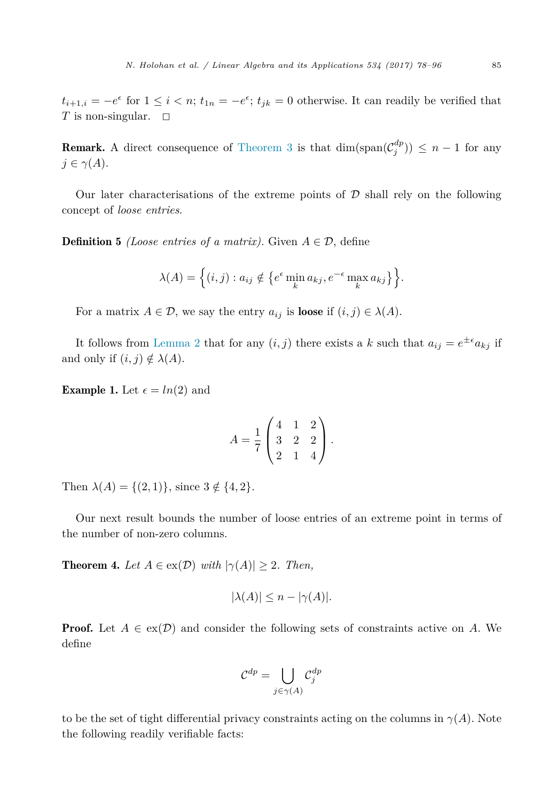<span id="page-7-0"></span> $t_{i+1,i} = -e^{\epsilon}$  for  $1 \leq i < n$ ;  $t_{1n} = -e^{\epsilon}$ ;  $t_{jk} = 0$  otherwise. It can readily be verified that *T* is non-singular.  $\Box$ 

**Remark.** A direct consequence of [Theorem 3](#page-6-0) is that  $\dim(\text{span}(\mathcal{C}_j^{dp})) \leq n-1$  for any  $j \in \gamma(A)$ .

Our later characterisations of the extreme points of  $D$  shall rely on the following concept of *loose entries*.

**Definition 5** *(Loose entries of a matrix)*. Given  $A \in \mathcal{D}$ , define

$$
\lambda(A) = \left\{ (i,j) : a_{ij} \notin \left\{ e^{\epsilon} \min_{k} a_{kj}, e^{-\epsilon} \max_{k} a_{kj} \right\} \right\}.
$$

For a matrix  $A \in \mathcal{D}$ , we say the entry  $a_{ij}$  is **loose** if  $(i, j) \in \lambda(A)$ .

It follows from [Lemma 2](#page-5-0) that for any  $(i, j)$  there exists a *k* such that  $a_{ij} = e^{\pm \epsilon} a_{kj}$  if and only if  $(i, j) \notin \lambda(A)$ .

**Example 1.** Let  $\epsilon = ln(2)$  and

$$
A = \frac{1}{7} \begin{pmatrix} 4 & 1 & 2 \\ 3 & 2 & 2 \\ 2 & 1 & 4 \end{pmatrix}.
$$

Then  $\lambda(A) = \{(2, 1)\}\text{, since } 3 \notin \{4, 2\}.$ 

Our next result bounds the number of loose entries of an extreme point in terms of the number of non-zero columns.

**Theorem 4.** Let  $A \in \text{ex}(\mathcal{D})$  with  $|\gamma(A)| \geq 2$ . Then,

$$
|\lambda(A)| \le n - |\gamma(A)|.
$$

**Proof.** Let  $A \in \text{ex}(\mathcal{D})$  and consider the following sets of constraints active on A. We define

$$
\mathcal{C}^{dp} = \bigcup_{j \in \gamma(A)} \mathcal{C}^{dp}_j
$$

to be the set of tight differential privacy constraints acting on the columns in  $\gamma(A)$ . Note the following readily verifiable facts: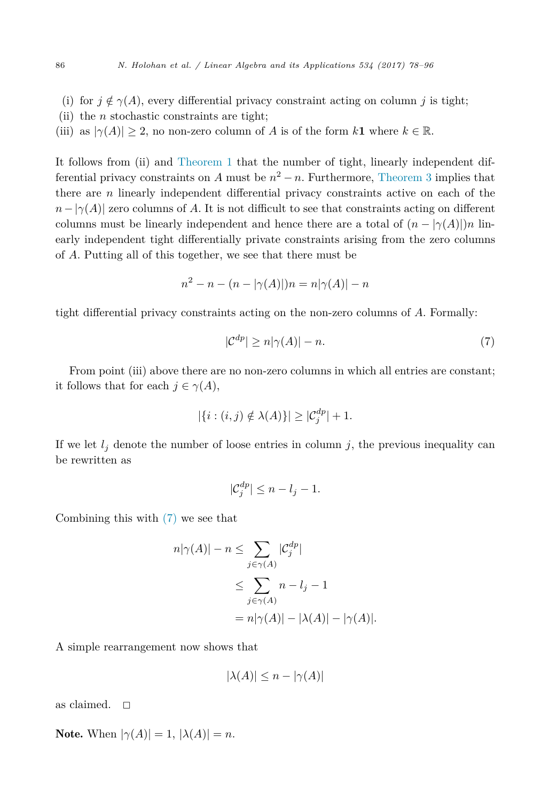- (i) for  $j \notin \gamma(A)$ , every differential privacy constraint acting on column *j* is tight;
- (ii) the *n* stochastic constraints are tight;
- (iii) as  $|\gamma(A)| \geq 2$ , no non-zero column of *A* is of the form *k***1** where  $k \in \mathbb{R}$ .

It follows from (ii) and [Theorem 1](#page-3-0) that the number of tight, linearly independent differential privacy constraints on *A* must be  $n^2 - n$ . Furthermore, [Theorem 3](#page-6-0) implies that there are *n* linearly independent differential privacy constraints active on each of the  $n - |\gamma(A)|$  zero columns of *A*. It is not difficult to see that constraints acting on different columns must be linearly independent and hence there are a total of  $(n - |\gamma(A)|)n$  linearly independent tight differentially private constraints arising from the zero columns of *A*. Putting all of this together, we see that there must be

$$
n^{2} - n - (n - |\gamma(A)|)n = n|\gamma(A)| - n
$$

tight differential privacy constraints acting on the non-zero columns of *A*. Formally:

$$
|\mathcal{C}^{dp}| \ge n|\gamma(A)| - n. \tag{7}
$$

From point (iii) above there are no non-zero columns in which all entries are constant; it follows that for each  $j \in \gamma(A)$ ,

$$
|\{i:(i,j)\notin\lambda(A)\}| \geq |\mathcal{C}_j^{dp}| + 1.
$$

If we let  $l_j$  denote the number of loose entries in column  $j$ , the previous inequality can be rewritten as

$$
|\mathcal{C}_j^{dp}| \le n - l_j - 1.
$$

Combining this with (7) we see that

$$
n|\gamma(A)| - n \le \sum_{j \in \gamma(A)} |\mathcal{C}_j^{dp}|
$$
  
\n
$$
\le \sum_{j \in \gamma(A)} n - l_j - 1
$$
  
\n
$$
= n|\gamma(A)| - |\lambda(A)| - |\gamma(A)|.
$$

A simple rearrangement now shows that

$$
|\lambda(A)| \le n - |\gamma(A)|
$$

as claimed.  $\square$ 

Note. When  $|\gamma(A)| = 1$ ,  $|\lambda(A)| = n$ .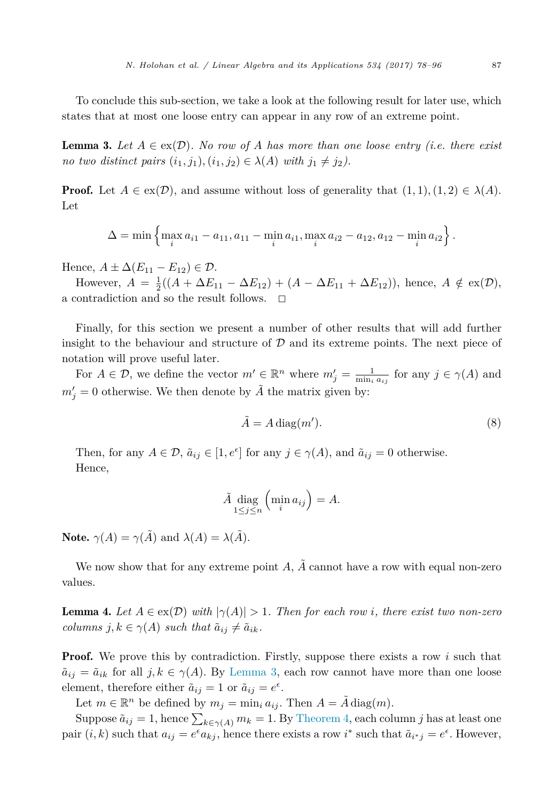<span id="page-9-0"></span>To conclude this sub-section, we take a look at the following result for later use, which states that at most one loose entry can appear in any row of an extreme point.

**Lemma 3.** Let  $A \in \text{ex}(\mathcal{D})$ . No row of A has more than one loose entry (i.e. there exist *no two distinct pairs*  $(i_1, j_1), (i_1, j_2) \in \lambda(A)$  *with*  $j_1 \neq j_2$ .

**Proof.** Let  $A \in \text{ex}(\mathcal{D})$ , and assume without loss of generality that  $(1,1), (1,2) \in \lambda(A)$ . Let

$$
\Delta = \min \left\{ \max_{i} a_{i1} - a_{11}, a_{11} - \min_{i} a_{i1}, \max_{i} a_{i2} - a_{12}, a_{12} - \min_{i} a_{i2} \right\}.
$$

Hence,  $A \pm \Delta (E_{11} - E_{12}) \in \mathcal{D}$ .

However,  $A = \frac{1}{2}((A + \Delta E_{11} - \Delta E_{12}) + (A - \Delta E_{11} + \Delta E_{12}))$ , hence,  $A \notin \text{ex}(\mathcal{D})$ , a contradiction and so the result follows.  $\Box$ 

Finally, for this section we present a number of other results that will add further insight to the behaviour and structure of  $\mathcal D$  and its extreme points. The next piece of notation will prove useful later.

For  $A \in \mathcal{D}$ , we define the vector  $m' \in \mathbb{R}^n$  where  $m'_j = \frac{1}{\min_i a_{ij}}$  for any  $j \in \gamma(A)$  and  $m'_{j} = 0$  otherwise. We then denote by  $\tilde{A}$  the matrix given by:

$$
\tilde{A} = A \operatorname{diag}(m'). \tag{8}
$$

Then, for any  $A \in \mathcal{D}$ ,  $\tilde{a}_{ij} \in [1, e^{\epsilon}]$  for any  $j \in \gamma(A)$ , and  $\tilde{a}_{ij} = 0$  otherwise. Hence,

$$
\tilde{A} \underset{1 \le j \le n}{\text{diag}} \left( \min_i a_{ij} \right) = A.
$$

**Note.**  $\gamma(A) = \gamma(\tilde{A})$  and  $\lambda(A) = \lambda(\tilde{A})$ .

We now show that for any extreme point  $A$ ,  $\tilde{A}$  cannot have a row with equal non-zero values.

**Lemma 4.** Let  $A \in \text{ex}(\mathcal{D})$  with  $|\gamma(A)| > 1$ . Then for each row *i*, there exist two non-zero *columns*  $j, k \in \gamma(A)$  *such that*  $\tilde{a}_{ij} \neq \tilde{a}_{ik}$ *.* 

**Proof.** We prove this by contradiction. Firstly, suppose there exists a row *i* such that  $\tilde{a}_{ij} = \tilde{a}_{ik}$  for all  $j, k \in \gamma(A)$ . By Lemma 3, each row cannot have more than one loose element, therefore either  $\tilde{a}_{ij} = 1$  or  $\tilde{a}_{ij} = e^{\epsilon}$ .

Let  $m \in \mathbb{R}^n$  be defined by  $m_j = \min_i a_{ij}$ . Then  $A = A \text{ diag}(m)$ .

Suppose  $\tilde{a}_{ij} = 1$ , hence  $\sum_{k \in \gamma(A)} m_k = 1$ . By [Theorem 4,](#page-7-0) each column *j* has at least one pair  $(i, k)$  such that  $a_{ij} = e^{\epsilon} a_{kj}$ , hence there exists a row *i*<sup>\*</sup> such that  $\tilde{a}_{i^*j} = e^{\epsilon}$ . However,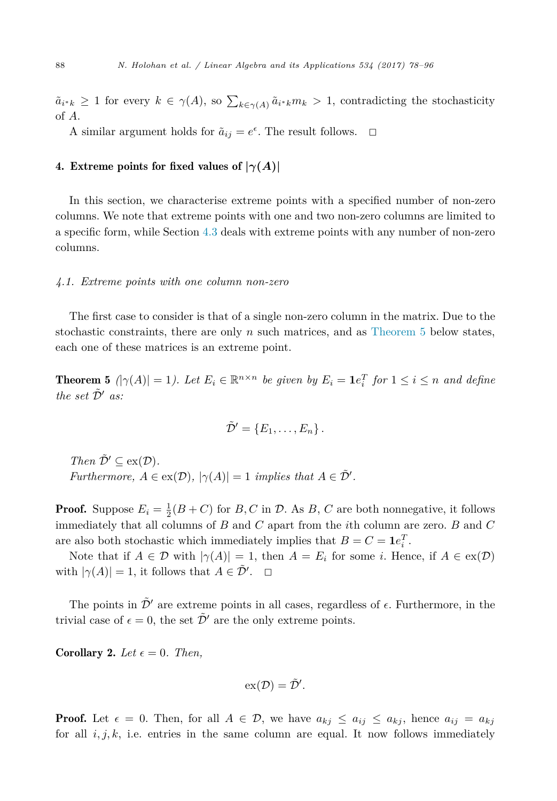<span id="page-10-0"></span> $\tilde{a}_{i^*k} \geq 1$  for every  $k \in \gamma(A)$ , so  $\sum_{k \in \gamma(A)} \tilde{a}_{i^*k} m_k > 1$ , contradicting the stochasticity of *A*.

A similar argument holds for  $\tilde{a}_{ij} = e^{\epsilon}$ . The result follows.  $\Box$ 

#### 4. Extreme points for fixed values of  $|\gamma(A)|$

In this section, we characterise extreme points with a specified number of non-zero columns. We note that extreme points with one and two non-zero columns are limited to a specific form, while Section [4.3](#page-12-0) deals with extreme points with any number of non-zero columns.

# *4.1. Extreme points with one column non-zero*

The first case to consider is that of a single non-zero column in the matrix. Due to the stochastic constraints, there are only *n* such matrices, and as Theorem 5 below states, each one of these matrices is an extreme point.

**Theorem 5**  $(|\gamma(A)| = 1)$ . Let  $E_i \in \mathbb{R}^{n \times n}$  be given by  $E_i = \mathbf{1}e_i^T$  for  $1 \leq i \leq n$  and define *the set*  $\tilde{\mathcal{D}}'$  *as:* 

$$
\tilde{\mathcal{D}}'=\{E_1,\ldots,E_n\}\,.
$$

*Then*  $\tilde{\mathcal{D}}' \subseteq \text{ex}(\mathcal{D})$ *. Furthermore,*  $A \in \text{ex}(\mathcal{D}), |\gamma(A)| = 1$  *implies that*  $A \in \tilde{\mathcal{D}}'$ .

**Proof.** Suppose  $E_i = \frac{1}{2}(B+C)$  for *B*, *C* in *D*. As *B*, *C* are both nonnegative, it follows immediately that all columns of *B* and *C* apart from the *i*th column are zero. *B* and *C* are also both stochastic which immediately implies that  $B = C = \mathbf{1}e_i^T$ .

Note that if  $A \in \mathcal{D}$  with  $|\gamma(A)| = 1$ , then  $A = E_i$  for some *i*. Hence, if  $A \in \text{ex}(\mathcal{D})$ with  $|\gamma(A)| = 1$ , it follows that  $A \in \tilde{\mathcal{D}}'$ .  $\Box$ 

The points in  $\tilde{\mathcal{D}}'$  are extreme points in all cases, regardless of  $\epsilon$ . Furthermore, in the trivial case of  $\epsilon = 0$ , the set  $\tilde{\mathcal{D}}'$  are the only extreme points.

**Corollary 2.** Let  $\epsilon = 0$ . Then,

$$
\mathrm{ex}(\mathcal{D})=\tilde{\mathcal{D}}'.
$$

**Proof.** Let  $\epsilon = 0$ . Then, for all  $A \in \mathcal{D}$ , we have  $a_{kj} \leq a_{ij} \leq a_{kj}$ , hence  $a_{ij} = a_{kj}$ for all  $i, j, k$ , i.e. entries in the same column are equal. It now follows immediately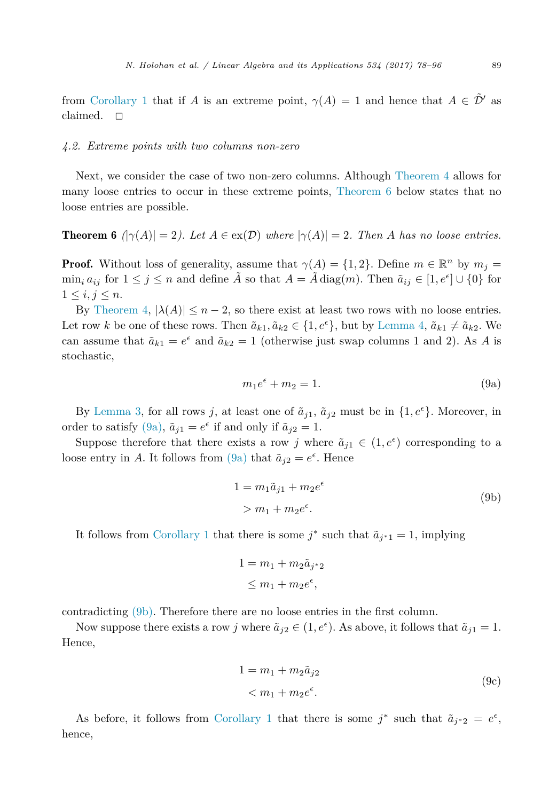<span id="page-11-0"></span>from [Corollary 1](#page-6-0) that if *A* is an extreme point,  $\gamma(A) = 1$  and hence that  $A \in \tilde{\mathcal{D}}'$  as claimed.  $\square$ 

#### *4.2. Extreme points with two columns non-zero*

Next, we consider the case of two non-zero columns. Although [Theorem 4](#page-7-0) allows for many loose entries to occur in these extreme points, Theorem 6 below states that no loose entries are possible.

**Theorem 6**  $|\gamma(A)| = 2$ *).* Let  $A \in \text{ex}(\mathcal{D})$  where  $|\gamma(A)| = 2$ . Then A has no loose entries.

**Proof.** Without loss of generality, assume that  $\gamma(A) = \{1, 2\}$ . Define  $m \in \mathbb{R}^n$  by  $m_j =$  $\min_i a_{ij}$  for  $1 \leq j \leq n$  and define  $\tilde{A}$  so that  $A = \tilde{A} \text{ diag}(m)$ . Then  $\tilde{a}_{ij} \in [1, e^{\epsilon}] \cup \{0\}$  for  $1 \leq i, j \leq n$ .

By [Theorem 4,](#page-7-0)  $|\lambda(A)| \leq n-2$ , so there exist at least two rows with no loose entries. Let row *k* be one of these rows. Then  $\tilde{a}_{k1}, \tilde{a}_{k2} \in \{1, e^{\epsilon}\}$ , but by [Lemma 4,](#page-9-0)  $\tilde{a}_{k1} \neq \tilde{a}_{k2}$ . We can assume that  $\tilde{a}_{k1} = e^{\epsilon}$  and  $\tilde{a}_{k2} = 1$  (otherwise just swap columns 1 and 2). As *A* is stochastic,

$$
m_1 e^{\epsilon} + m_2 = 1. \tag{9a}
$$

By [Lemma 3,](#page-9-0) for all rows *j*, at least one of  $\tilde{a}_{j1}$ ,  $\tilde{a}_{j2}$  must be in  $\{1, e^{\epsilon}\}$ . Moreover, in order to satisfy  $(9a)$ ,  $\tilde{a}_{j1} = e^{\epsilon}$  if and only if  $\tilde{a}_{j2} = 1$ .

Suppose therefore that there exists a row *j* where  $\tilde{a}_{j1} \in (1, e^{\epsilon})$  corresponding to a loose entry in *A*. It follows from (9a) that  $\tilde{a}_{j2} = e^{\epsilon}$ . Hence

$$
1 = m_1 \tilde{a}_{j1} + m_2 e^{\epsilon}
$$
  
> 
$$
m_1 + m_2 e^{\epsilon}.
$$
 (9b)

It follows from [Corollary 1](#page-6-0) that there is some  $j^*$  such that  $\tilde{a}_{j^*1} = 1$ , implying

$$
1 = m_1 + m_2 \tilde{a}_{j^*2}
$$
  

$$
\leq m_1 + m_2 e^{\epsilon},
$$

contradicting (9b). Therefore there are no loose entries in the first column.

Now suppose there exists a row *j* where  $\tilde{a}_{j2} \in (1, e^{\epsilon})$ . As above, it follows that  $\tilde{a}_{j1} = 1$ . Hence,

$$
1 = m_1 + m_2 \tilde{a}_{j2}
$$
  

$$
< m_1 + m_2 e^{\epsilon}.
$$
 (9c)

As before, it follows from [Corollary 1](#page-6-0) that there is some  $j^*$  such that  $\tilde{a}_{j^*2} = e^{\epsilon}$ , hence,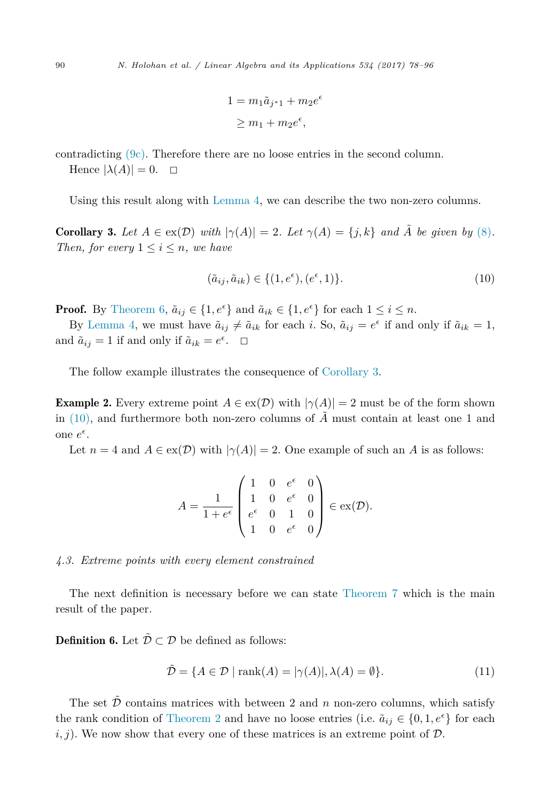$$
1 = m_1 \tilde{a}_{j^*1} + m_2 e^{\epsilon}
$$
  

$$
\geq m_1 + m_2 e^{\epsilon},
$$

<span id="page-12-0"></span>contradicting [\(9c\).](#page-11-0) Therefore there are no loose entries in the second column.

Hence  $|\lambda(A)| = 0$ .  $\Box$ 

Using this result along with [Lemma 4,](#page-9-0) we can describe the two non-zero columns.

**Corollary 3.** Let  $A \in \text{ex}(\mathcal{D})$  *with*  $|\gamma(A)| = 2$ *. Let*  $\gamma(A) = \{j, k\}$  *and*  $\tilde{A}$  *be given by* [\(8\)](#page-9-0)*. Then, for every*  $1 \leq i \leq n$ *, we have* 

$$
(\tilde{a}_{ij}, \tilde{a}_{ik}) \in \{ (1, e^{\epsilon}), (e^{\epsilon}, 1) \}.
$$
 (10)

**Proof.** By [Theorem 6,](#page-11-0)  $\tilde{a}_{ij} \in \{1, e^{\epsilon}\}\$  and  $\tilde{a}_{ik} \in \{1, e^{\epsilon}\}\$  for each  $1 \le i \le n$ .

By [Lemma 4,](#page-9-0) we must have  $\tilde{a}_{ij} \neq \tilde{a}_{ik}$  for each *i*. So,  $\tilde{a}_{ij} = e^{\epsilon}$  if and only if  $\tilde{a}_{ik} = 1$ , and  $\tilde{a}_{ij} = 1$  if and only if  $\tilde{a}_{ik} = e^{\epsilon}$ .  $\Box$ 

The follow example illustrates the consequence of Corollary 3.

**Example 2.** Every extreme point  $A \in \text{ex}(\mathcal{D})$  with  $|\gamma(A)| = 2$  must be of the form shown in  $(10)$ , and furthermore both non-zero columns of  $\tilde{A}$  must contain at least one 1 and one  $e^{\epsilon}$ .

Let  $n = 4$  and  $A \in \text{ex}(\mathcal{D})$  with  $|\gamma(A)| = 2$ . One example of such an A is as follows:

$$
A = \frac{1}{1 + e^{\epsilon}} \begin{pmatrix} 1 & 0 & e^{\epsilon} & 0 \\ 1 & 0 & e^{\epsilon} & 0 \\ e^{\epsilon} & 0 & 1 & 0 \\ 1 & 0 & e^{\epsilon} & 0 \end{pmatrix} \in \text{ex}(\mathcal{D}).
$$

#### *4.3. Extreme points with every element constrained*

The next definition is necessary before we can state [Theorem 7](#page-13-0) which is the main result of the paper.

**Definition 6.** Let  $\tilde{\mathcal{D}} \subset \mathcal{D}$  be defined as follows:

$$
\tilde{\mathcal{D}} = \{ A \in \mathcal{D} \mid \text{rank}(A) = |\gamma(A)|, \lambda(A) = \emptyset \}. \tag{11}
$$

The set  $\tilde{\mathcal{D}}$  contains matrices with between 2 and *n* non-zero columns, which satisfy the rank condition of [Theorem 2](#page-5-0) and have no loose entries (i.e.  $\tilde{a}_{ij} \in \{0, 1, e^{\epsilon}\}\)$  for each  $i, j$ ). We now show that every one of these matrices is an extreme point of  $\mathcal{D}$ .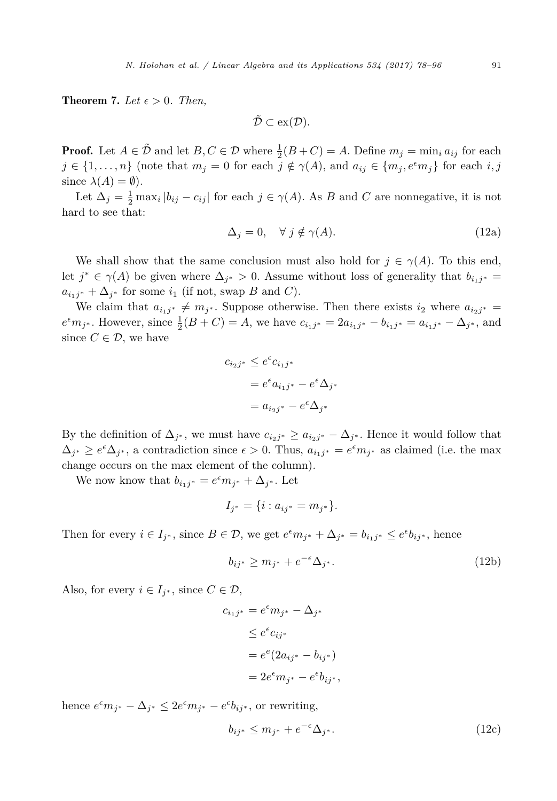<span id="page-13-0"></span>**Theorem 7.** Let  $\epsilon > 0$ . Then,

$$
\tilde{\mathcal{D}}\subset\mathrm{ex}(\mathcal{D}).
$$

**Proof.** Let  $A \in \tilde{\mathcal{D}}$  and let  $B, C \in \mathcal{D}$  where  $\frac{1}{2}(B+C) = A$ . Define  $m_j = \min_i a_{ij}$  for each  $j \in \{1, ..., n\}$  (note that  $m_j = 0$  for each  $j \notin \gamma(A)$ , and  $a_{ij} \in \{m_j, e^{\epsilon}m_j\}$  for each  $i, j$ since  $\lambda(A) = \emptyset$ ).

Let  $\Delta_j = \frac{1}{2} \max_i |b_{ij} - c_{ij}|$  for each  $j \in \gamma(A)$ . As *B* and *C* are nonnegative, it is not hard to see that:

$$
\Delta_j = 0, \quad \forall \ j \notin \gamma(A). \tag{12a}
$$

We shall show that the same conclusion must also hold for  $j \in \gamma(A)$ . To this end, let  $j^* \in \gamma(A)$  be given where  $\Delta_{j^*} > 0$ . Assume without loss of generality that  $b_{i,j^*} =$  $a_{i,j^*} + \Delta_{j^*}$  for some  $i_1$  (if not, swap *B* and *C*).

We claim that  $a_{i,j^*} \neq m_{j^*}$ . Suppose otherwise. Then there exists  $i_2$  where  $a_{i_2j^*}$  $e^{\epsilon}m_{j^*}$ . However, since  $\frac{1}{2}(B+C) = A$ , we have  $c_{i_1j^*} = 2a_{i_1j^*} - b_{i_1j^*} = a_{i_1j^*} - \Delta_{j^*}$ , and since  $C \in \mathcal{D}$ , we have

$$
c_{i_2j^*} \le e^{\epsilon} c_{i_1j^*}
$$
  
=  $e^{\epsilon} a_{i_1j^*} - e^{\epsilon} \Delta_{j^*}$   
=  $a_{i_2j^*} - e^{\epsilon} \Delta_{j^*}$ 

By the definition of  $\Delta_{j^*}$ , we must have  $c_{i_2j^*} \geq a_{i_2j^*} - \Delta_{j^*}$ . Hence it would follow that  $\Delta_{j^*} \geq e^{\epsilon} \Delta_{j^*}$ , a contradiction since  $\epsilon > 0$ . Thus,  $a_{i_1j^*} = e^{\epsilon} m_{j^*}$  as claimed (i.e. the max change occurs on the max element of the column).

We now know that  $b_{i_1j^*} = e^{\epsilon}m_{j^*} + \Delta_{j^*}$ . Let

$$
I_{j^*} = \{i : a_{ij^*} = m_{j^*}\}.
$$

Then for every  $i \in I_{j^*}$ , since  $B \in \mathcal{D}$ , we get  $e^{\epsilon}m_{j^*} + \Delta_{j^*} = b_{i_1j^*} \leq e^{\epsilon}b_{ij^*}$ , hence

$$
b_{ij^*} \ge m_{j^*} + e^{-\epsilon} \Delta_{j^*}.
$$
\n(12b)

Also, for every  $i \in I_{i^*}$ , since  $C \in \mathcal{D}$ ,

$$
c_{i_1j^*} = e^{\epsilon}m_{j^*} - \Delta_{j^*}
$$
  
\n
$$
\leq e^{\epsilon}c_{ij^*}
$$
  
\n
$$
= e^{\epsilon}(2a_{ij^*} - b_{ij^*})
$$
  
\n
$$
= 2e^{\epsilon}m_{j^*} - e^{\epsilon}b_{ij^*},
$$

hence  $e^{\epsilon}m_{j^*} - \Delta_{j^*} \leq 2e^{\epsilon}m_{j^*} - e^{\epsilon}b_{ij^*}$ , or rewriting,

$$
b_{ij^*} \le m_{j^*} + e^{-\epsilon} \Delta_{j^*}.
$$
\n(12c)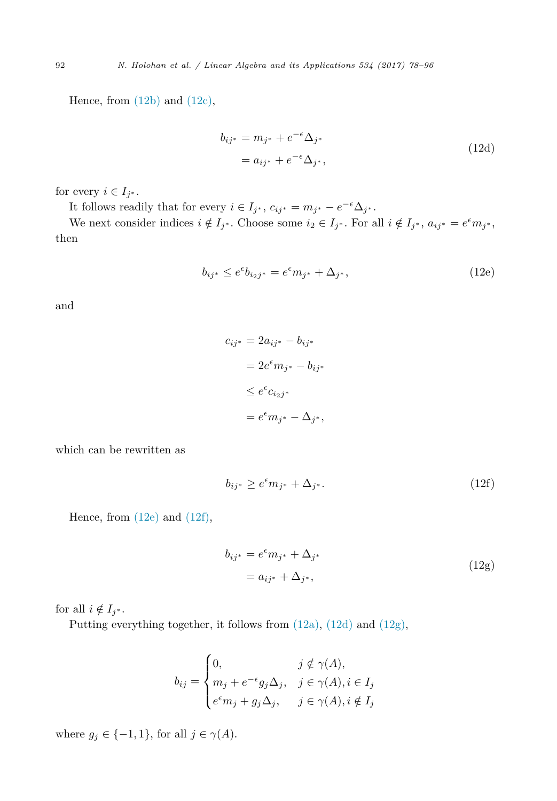Hence, from  $(12b)$  and  $(12c)$ ,

$$
b_{ij^*} = m_{j^*} + e^{-\epsilon} \Delta_{j^*}
$$
  
=  $a_{ij^*} + e^{-\epsilon} \Delta_{j^*}$ , (12d)

for every  $i \in I_{j^*}$ .

It follows readily that for every  $i \in I_{j^*}$ ,  $c_{ij^*} = m_{j^*} - e^{-\epsilon} \Delta_{j^*}$ .

We next consider indices  $i \notin I_{j^*}$ . Choose some  $i_2 \in I_{j^*}$ . For all  $i \notin I_{j^*}$ ,  $a_{ij^*} = e^{\epsilon} m_{j^*}$ , then

$$
b_{ij^*} \le e^{\epsilon} b_{i_2 j^*} = e^{\epsilon} m_{j^*} + \Delta_{j^*}, \tag{12e}
$$

and

$$
c_{ij^*} = 2a_{ij^*} - b_{ij^*}
$$

$$
= 2e^{\epsilon}m_{j^*} - b_{ij^*}
$$

$$
\leq e^{\epsilon}c_{i_2j^*}
$$

$$
= e^{\epsilon}m_{j^*} - \Delta_{j^*},
$$

which can be rewritten as

$$
b_{ij^*} \ge e^{\epsilon} m_{j^*} + \Delta_{j^*}.
$$
\n(12f)

Hence, from (12e) and (12f),

$$
b_{ij^*} = e^{\epsilon} m_{j^*} + \Delta_{j^*}
$$
  
=  $a_{ij^*} + \Delta_{j^*}$ , (12g)

for all  $i \notin I_{i^*}$ .

Putting everything together, it follows from [\(12a\),](#page-13-0) (12d) and (12g),

$$
b_{ij} = \begin{cases} 0, & j \notin \gamma(A), \\ m_j + e^{-\epsilon} g_j \Delta_j, & j \in \gamma(A), i \in I_j \\ e^{\epsilon} m_j + g_j \Delta_j, & j \in \gamma(A), i \notin I_j \end{cases}
$$

where  $g_j \in \{-1, 1\}$ , for all  $j \in \gamma(A)$ .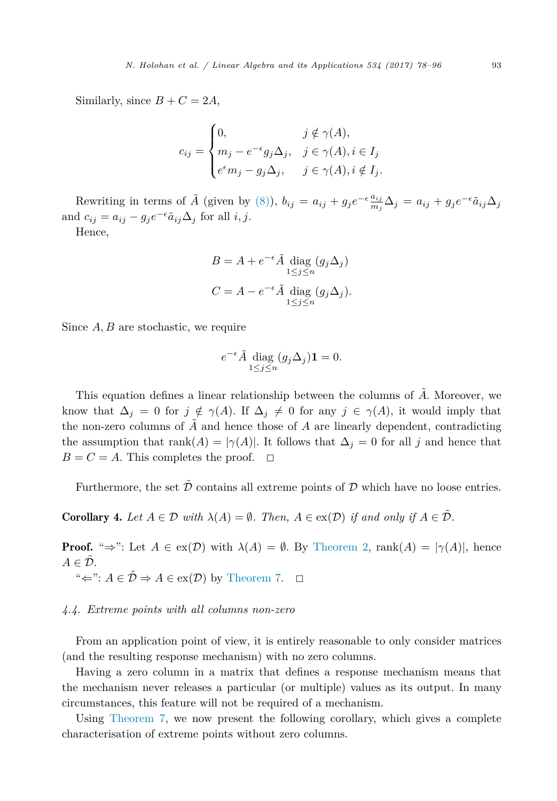Similarly, since  $B + C = 2A$ ,

$$
c_{ij} = \begin{cases} 0, & j \notin \gamma(A), \\ m_j - e^{-\epsilon} g_j \Delta_j, & j \in \gamma(A), i \in I_j \\ e^{\epsilon} m_j - g_j \Delta_j, & j \in \gamma(A), i \notin I_j. \end{cases}
$$

Rewriting in terms of  $\tilde{A}$  (given by [\(8\)\)](#page-9-0),  $b_{ij} = a_{ij} + g_j e^{-\epsilon} \frac{a_{ij}}{m_j} \Delta_j = a_{ij} + g_j e^{-\epsilon} \tilde{a}_{ij} \Delta_j$ and  $c_{ij} = a_{ij} - g_j e^{-\epsilon} \tilde{a}_{ij} \Delta_j$  for all  $i, j$ .

Hence,

$$
B = A + e^{-\epsilon} \tilde{A} \operatorname{diag}_{1 \le j \le n} (g_j \Delta_j)
$$
  

$$
C = A - e^{-\epsilon} \tilde{A} \operatorname{diag}_{1 \le j \le n} (g_j \Delta_j).
$$

Since *A, B* are stochastic, we require

$$
e^{-\epsilon}\tilde{A} \operatorname{diag}_{1 \le j \le n} (g_j \Delta_j) \mathbf{1} = 0.
$$

This equation defines a linear relationship between the columns of  $\tilde{A}$ . Moreover, we know that  $\Delta_i = 0$  for  $j \notin \gamma(A)$ . If  $\Delta_j \neq 0$  for any  $j \in \gamma(A)$ , it would imply that the non-zero columns of  $\tilde{A}$  and hence those of  $A$  are linearly dependent, contradicting the assumption that  $rank(A) = |\gamma(A)|$ . It follows that  $\Delta_j = 0$  for all *j* and hence that  $B = C = A$ . This completes the proof.  $\Box$ 

Furthermore, the set  $D$  contains all extreme points of  $D$  which have no loose entries.

**Corollary 4.** Let  $A \in \mathcal{D}$  with  $\lambda(A) = \emptyset$ . Then,  $A \in \text{ex}(\mathcal{D})$  if and only if  $A \in \tilde{\mathcal{D}}$ .

**Proof.** " $\Rightarrow$ ": Let  $A \in \text{ex}(\mathcal{D})$  with  $\lambda(A) = \emptyset$ . By [Theorem 2,](#page-5-0) rank $(A) = |\gamma(A)|$ , hence  $A \in \mathcal{D}$ .

" $\Leftarrow$ ": *A* ∈  $\tilde{D}$   $\Rightarrow$  *A* ∈ ex(*D*) by [Theorem 7.](#page-13-0)  $\Box$ 

#### *4.4. Extreme points with all columns non-zero*

From an application point of view, it is entirely reasonable to only consider matrices (and the resulting response mechanism) with no zero columns.

Having a zero column in a matrix that defines a response mechanism means that the mechanism never releases a particular (or multiple) values as its output. In many circumstances, this feature will not be required of a mechanism.

Using [Theorem 7,](#page-13-0) we now present the following corollary, which gives a complete characterisation of extreme points without zero columns.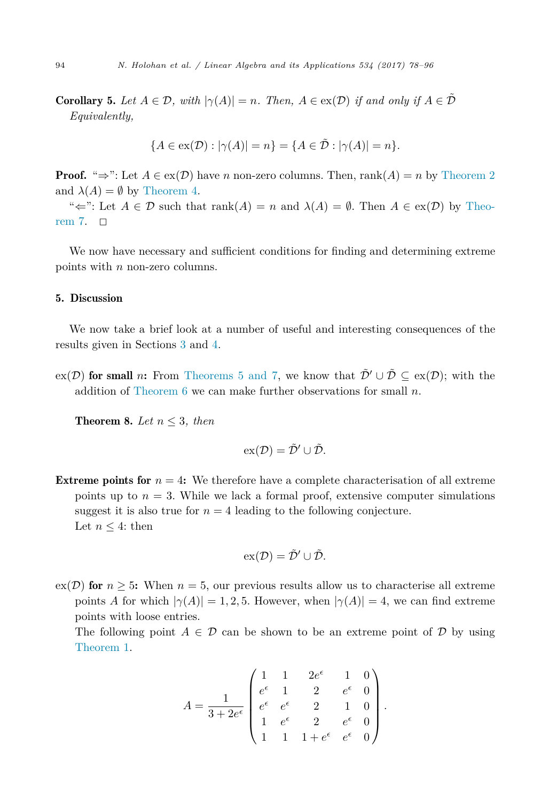<span id="page-16-0"></span>**Corollary 5.** Let  $A \in \mathcal{D}$ , with  $|\gamma(A)| = n$ . Then,  $A \in \text{ex}(\mathcal{D})$  if and only if  $A \in \mathcal{D}$ *Equivalently,*

$$
\{A \in \text{ex}(\mathcal{D}) : |\gamma(A)| = n\} = \{A \in \tilde{\mathcal{D}} : |\gamma(A)| = n\}.
$$

**Proof.** " $\Rightarrow$ ": Let  $A \in \text{ex}(\mathcal{D})$  have *n* non-zero columns. Then, rank(A) = *n* by [Theorem 2](#page-5-0) and  $\lambda(A) = \emptyset$  by [Theorem 4.](#page-7-0)

" $\Leftarrow$ ": Let  $A \in \mathcal{D}$  such that rank $(A) = n$  and  $\lambda(A) = \emptyset$ . Then  $A \in \mathcal{C}(\mathcal{D})$  by [Theo](#page-13-0)[rem 7.](#page-13-0)  $\Box$ 

We now have necessary and sufficient conditions for finding and determining extreme points with *n* non-zero columns.

### 5. Discussion

We now take a brief look at a number of useful and interesting consequences of the results given in Sections [3](#page-4-0) and [4.](#page-10-0)

 $ex(\mathcal{D})$  for small *n*: From [Theorems 5 and](#page-10-0) 7, we know that  $\tilde{\mathcal{D}}' \cup \tilde{\mathcal{D}} \subseteq ex(\mathcal{D})$ ; with the addition of [Theorem 6](#page-11-0) we can make further observations for small *n*.

**Theorem 8.** *Let*  $n \leq 3$ *, then* 

$$
\mathrm{ex}(\mathcal{D})=\tilde{\mathcal{D}}'\cup\tilde{\mathcal{D}}.
$$

**Extreme points for**  $n = 4$ : We therefore have a complete characterisation of all extreme points up to  $n = 3$ . While we lack a formal proof, extensive computer simulations suggest it is also true for  $n = 4$  leading to the following conjecture. Let  $n \leq 4$ : then

$$
\mathrm{ex}(\mathcal{D})=\tilde{\mathcal{D}}'\cup\tilde{\mathcal{D}}.
$$

 $\exp(\mathcal{D})$  for  $n \geq 5$ : When  $n = 5$ , our previous results allow us to characterise all extreme points *A* for which  $|\gamma(A)| = 1, 2, 5$ . However, when  $|\gamma(A)| = 4$ , we can find extreme points with loose entries.

The following point  $A \in \mathcal{D}$  can be shown to be an extreme point of  $\mathcal{D}$  by using [Theorem 1.](#page-3-0)

$$
A = \frac{1}{3 + 2e^{\epsilon}} \begin{pmatrix} 1 & 1 & 2e^{\epsilon} & 1 & 0 \\ e^{\epsilon} & 1 & 2 & e^{\epsilon} & 0 \\ e^{\epsilon} & e^{\epsilon} & 2 & 1 & 0 \\ 1 & e^{\epsilon} & 2 & e^{\epsilon} & 0 \\ 1 & 1 & 1 + e^{\epsilon} & e^{\epsilon} & 0 \end{pmatrix}.
$$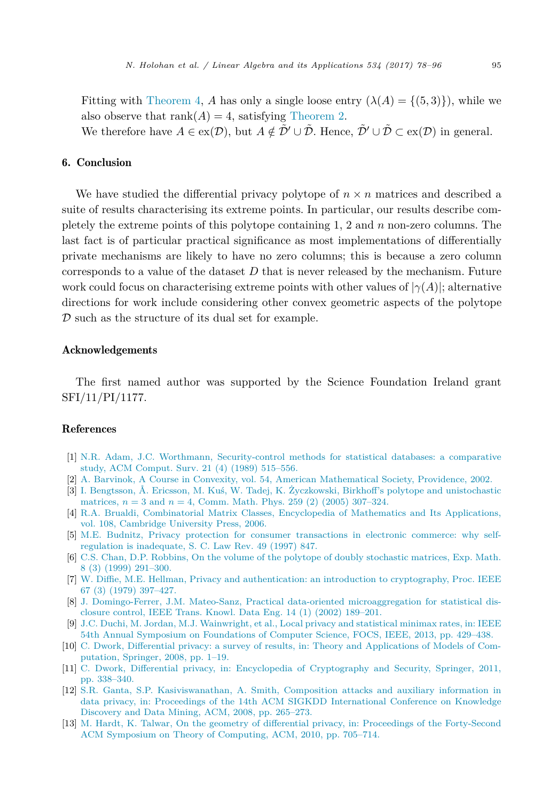<span id="page-17-0"></span>Fitting with [Theorem 4,](#page-7-0) *A* has only a single loose entry  $(\lambda(A) = \{(5,3)\})$ , while we also observe that  $rank(A) = 4$ , satisfying [Theorem 2.](#page-5-0)

We therefore have  $A \in \text{ex}(\mathcal{D})$ , but  $A \notin \tilde{\mathcal{D}}' \cup \tilde{\mathcal{D}}$ . Hence,  $\tilde{\mathcal{D}}' \cup \tilde{\mathcal{D}} \subset \text{ex}(\mathcal{D})$  in general.

# 6. Conclusion

We have studied the differential privacy polytope of  $n \times n$  matrices and described a suite of results characterising its extreme points. In particular, our results describe completely the extreme points of this polytope containing 1, 2 and *n* non-zero columns. The last fact is of particular practical significance as most implementations of differentially private mechanisms are likely to have no zero columns; this is because a zero column corresponds to a value of the dataset *D* that is never released by the mechanism. Future work could focus on characterising extreme points with other values of  $|\gamma(A)|$ ; alternative directions for work include considering other convex geometric aspects of the polytope D such as the structure of its dual set for example.

#### Acknowledgements

The first named author was supported by the Science Foundation Ireland grant SFI/11/PI/1177.

### References

- [1] N.R. Adam, J.C. Worthmann, [Security-control](http://refhub.elsevier.com/S0024-3795(17)30487-1/bib41573839s1) methods for statistical databases: a comparative study, ACM [Comput.](http://refhub.elsevier.com/S0024-3795(17)30487-1/bib41573839s1) Surv. 21 (4) (1989) 515–556.
- [2] A. Barvinok, A Course in Convexity, vol. 54, American [Mathematical](http://refhub.elsevier.com/S0024-3795(17)30487-1/bib62617276696E6F6B32303032636F75727365s1) Society, Providence, 2002.
- [3] I. Bengtsson, Å. Ericsson, M. Kuś, W. Tadej, K. Życzkowski, Birkhoff's polytope and [unistochastic](http://refhub.elsevier.com/S0024-3795(17)30487-1/bib42454B3035s1) [matrices,](http://refhub.elsevier.com/S0024-3795(17)30487-1/bib42454B3035s1)  $n = 3$  and  $n = 4$ , Comm. Math. Phys. 259 (2) (2005) 307–324.
- [4] R.A. Brualdi, [Combinatorial](http://refhub.elsevier.com/S0024-3795(17)30487-1/bib4272753036s1) Matrix Classes, Encyclopedia of Mathematics and Its Applications, vol. 108, [Cambridge](http://refhub.elsevier.com/S0024-3795(17)30487-1/bib4272753036s1) University Press, 2006.
- [5] M.E. Budnitz, Privacy protection for consumer [transactions](http://refhub.elsevier.com/S0024-3795(17)30487-1/bib6275646E69747A3139393770726976616379s1) in electronic commerce: why selfregulation is [inadequate,](http://refhub.elsevier.com/S0024-3795(17)30487-1/bib6275646E69747A3139393770726976616379s1) S. C. Law Rev. 49 (1997) 847.
- [6] C.S. Chan, D.P. Robbins, On the volume of the polytope of doubly [stochastic](http://refhub.elsevier.com/S0024-3795(17)30487-1/bib43523939s1) matrices, Exp. Math. 8 (3) (1999) [291–300.](http://refhub.elsevier.com/S0024-3795(17)30487-1/bib43523939s1)
- [7] W. Diffie, M.E. Hellman, Privacy and [authentication:](http://refhub.elsevier.com/S0024-3795(17)30487-1/bib44483739s1) an introduction to cryptography, Proc. IEEE 67 (3) (1979) [397–427.](http://refhub.elsevier.com/S0024-3795(17)30487-1/bib44483739s1)
- [8] J. Domingo-Ferrer, J.M. Mateo-Sanz, Practical data-oriented [microaggregation](http://refhub.elsevier.com/S0024-3795(17)30487-1/bib444D3032s1) for statistical disclosure control, IEEE Trans. Knowl. Data Eng. 14 (1) (2002) [189–201.](http://refhub.elsevier.com/S0024-3795(17)30487-1/bib444D3032s1)
- [9] J.C. Duchi, M. Jordan, M.J. [Wainwright,](http://refhub.elsevier.com/S0024-3795(17)30487-1/bib444A573133s1) et al., Local privacy and statistical minimax rates, in: IEEE 54th Annual Symposium on Foundations of Computer Science, FOCS, IEEE, 2013, [pp. 429–438.](http://refhub.elsevier.com/S0024-3795(17)30487-1/bib444A573133s1)
- [10] C. Dwork, Differential privacy: a survey of results, in: Theory and [Applications](http://refhub.elsevier.com/S0024-3795(17)30487-1/bib44776F3038s1) of Models of Computation, Springer, 2008, [pp. 1–19.](http://refhub.elsevier.com/S0024-3795(17)30487-1/bib44776F3038s1)
- [11] C. Dwork, Differential privacy, in: Encyclopedia of [Cryptography](http://refhub.elsevier.com/S0024-3795(17)30487-1/bib44776F3036s1) and Security, Springer, 2011, [pp. 338–340.](http://refhub.elsevier.com/S0024-3795(17)30487-1/bib44776F3036s1)
- [12] S.R. Ganta, S.P. [Kasiviswanathan,](http://refhub.elsevier.com/S0024-3795(17)30487-1/bib474B533038s1) A. Smith, Composition attacks and auxiliary information in data privacy, in: Proceedings of the 14th ACM SIGKDD [International](http://refhub.elsevier.com/S0024-3795(17)30487-1/bib474B533038s1) Conference on Knowledge Discovery and Data Mining, ACM, 2008, [pp. 265–273.](http://refhub.elsevier.com/S0024-3795(17)30487-1/bib474B533038s1)
- [13] M. Hardt, K. Talwar, On the geometry of differential privacy, in: Proceedings of the [Forty-Second](http://refhub.elsevier.com/S0024-3795(17)30487-1/bib48543130s1) ACM Symposium on Theory of Computing, ACM, 2010, [pp. 705–714.](http://refhub.elsevier.com/S0024-3795(17)30487-1/bib48543130s1)